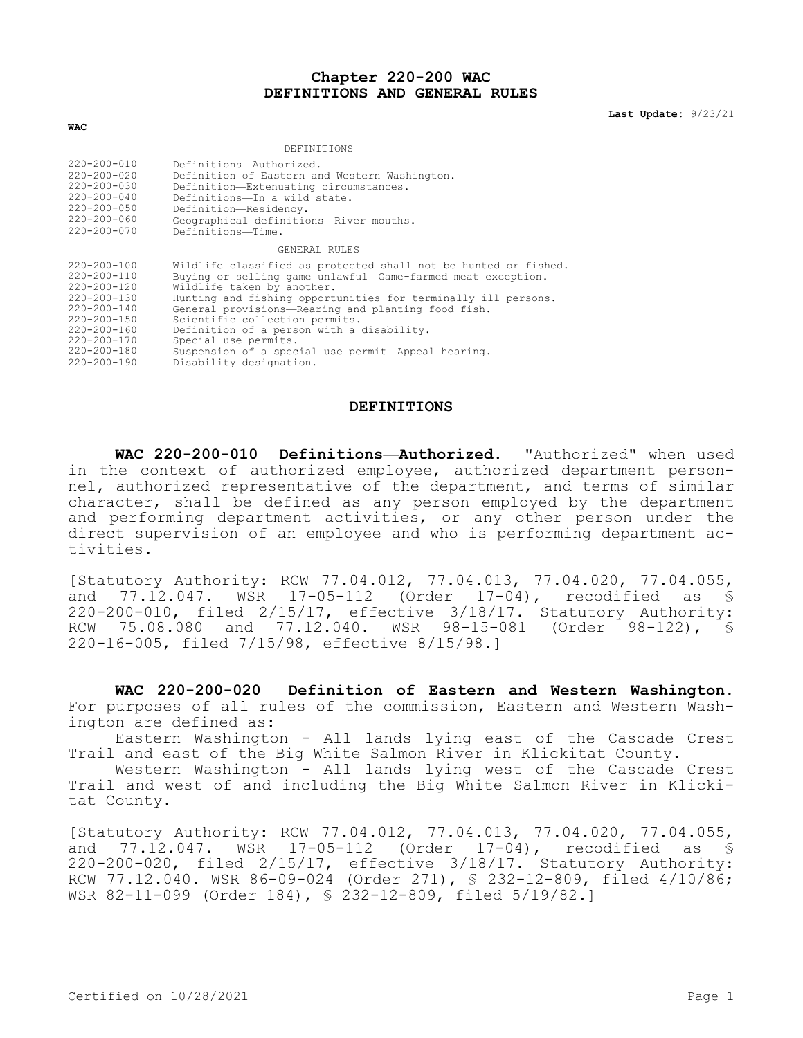## **Chapter 220-200 WAC DEFINITIONS AND GENERAL RULES**

**Last Update:** 9/23/21

| DEFINITIONS       |                                                                 |  |
|-------------------|-----------------------------------------------------------------|--|
| $220 - 200 - 010$ | Definitions-Authorized.                                         |  |
| $220 - 200 - 020$ | Definition of Eastern and Western Washington.                   |  |
| $220 - 200 - 030$ | Definition-Extenuating circumstances.                           |  |
| $220 - 200 - 040$ | Definitions-In a wild state.                                    |  |
| $220 - 200 - 050$ | Definition-Residency.                                           |  |
| $220 - 200 - 060$ | Geographical definitions-River mouths.                          |  |
| $220 - 200 - 070$ | Definitions—Time.                                               |  |
| GENERAL RULES     |                                                                 |  |
| $220 - 200 - 100$ | Wildlife classified as protected shall not be hunted or fished. |  |
| $220 - 200 - 110$ | Buying or selling game unlawful-Game-farmed meat exception.     |  |
| $220 - 200 - 120$ | Wildlife taken by another.                                      |  |
| $220 - 200 - 130$ | Hunting and fishing opportunities for terminally ill persons.   |  |
| $220 - 200 - 140$ | General provisions-Rearing and planting food fish.              |  |
| $220 - 200 - 150$ | Scientific collection permits.                                  |  |
| $220 - 200 - 160$ | Definition of a person with a disability.                       |  |
| 220-200-170       | Special use permits.                                            |  |
| 220-200-180       | Suspension of a special use permit-Appeal hearing.              |  |
| $220 - 200 - 190$ | Disability designation.                                         |  |

**WAC**

## **DEFINITIONS**

**WAC 220-200-010 Definitions—Authorized.** "Authorized" when used in the context of authorized employee, authorized department personnel, authorized representative of the department, and terms of similar character, shall be defined as any person employed by the department and performing department activities, or any other person under the direct supervision of an employee and who is performing department activities.

[Statutory Authority: RCW 77.04.012, 77.04.013, 77.04.020, 77.04.055, and 77.12.047. WSR 17-05-112 (Order 17-04), recodified as § 220-200-010, filed 2/15/17, effective 3/18/17. Statutory Authority: RCW 75.08.080 and 77.12.040. WSR 98-15-081 (Order 98-122), § 220-16-005, filed 7/15/98, effective 8/15/98.]

**WAC 220-200-020 Definition of Eastern and Western Washington.**  For purposes of all rules of the commission, Eastern and Western Washington are defined as:

Eastern Washington - All lands lying east of the Cascade Crest Trail and east of the Big White Salmon River in Klickitat County.

Western Washington - All lands lying west of the Cascade Crest Trail and west of and including the Big White Salmon River in Klickitat County.

[Statutory Authority: RCW 77.04.012, 77.04.013, 77.04.020, 77.04.055, and 77.12.047. WSR 17-05-112 (Order 17-04), recodified as § 220-200-020, filed 2/15/17, effective 3/18/17. Statutory Authority: RCW 77.12.040. WSR 86-09-024 (Order 271), § 232-12-809, filed 4/10/86; WSR 82-11-099 (Order 184), § 232-12-809, filed 5/19/82.]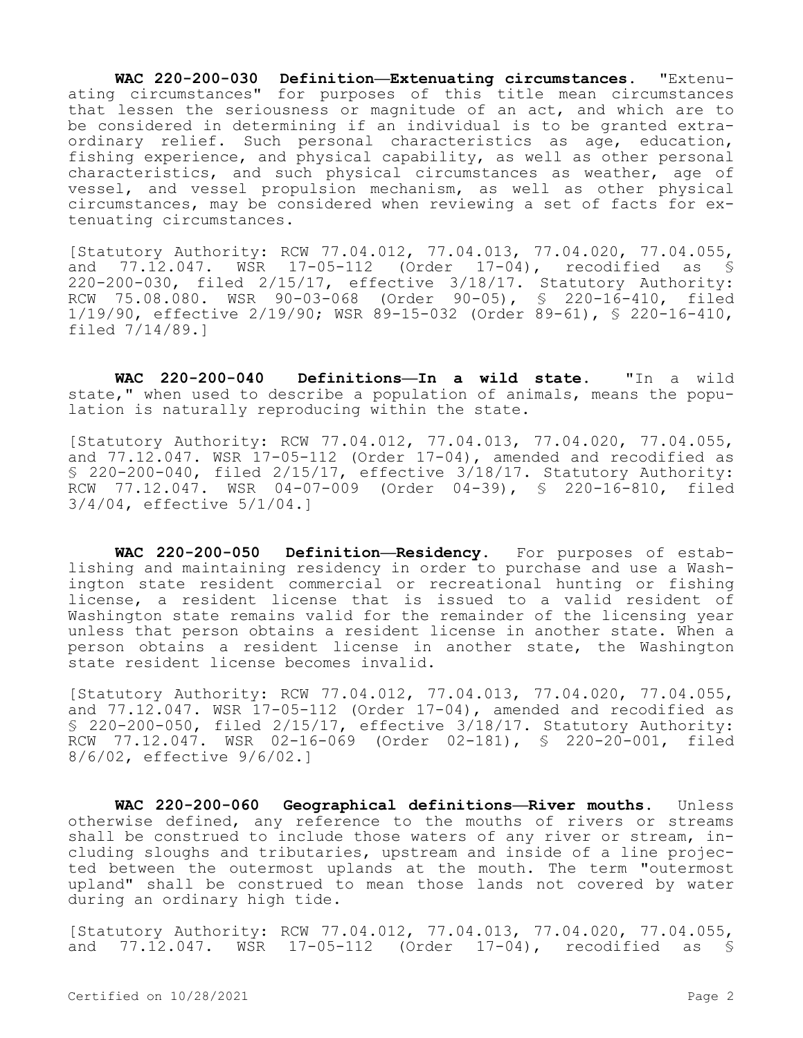**WAC 220-200-030 Definition—Extenuating circumstances.** "Extenuating circumstances" for purposes of this title mean circumstances that lessen the seriousness or magnitude of an act, and which are to be considered in determining if an individual is to be granted extraordinary relief. Such personal characteristics as age, education, fishing experience, and physical capability, as well as other personal characteristics, and such physical circumstances as weather, age of vessel, and vessel propulsion mechanism, as well as other physical circumstances, may be considered when reviewing a set of facts for extenuating circumstances.

[Statutory Authority: RCW 77.04.012, 77.04.013, 77.04.020, 77.04.055, and 77.12.047. WSR 17-05-112 (Order 17-04), recodified as § 220-200-030, filed 2/15/17, effective 3/18/17. Statutory Authority: RCW 75.08.080. WSR 90-03-068 (Order 90-05), § 220-16-410, filed 1/19/90, effective 2/19/90; WSR 89-15-032 (Order 89-61), § 220-16-410, filed 7/14/89.]

**WAC 220-200-040 Definitions—In a wild state.** "In a wild state," when used to describe a population of animals, means the population is naturally reproducing within the state.

[Statutory Authority: RCW 77.04.012, 77.04.013, 77.04.020, 77.04.055, and 77.12.047. WSR 17-05-112 (Order 17-04), amended and recodified as § 220-200-040, filed 2/15/17, effective 3/18/17. Statutory Authority: RCW 77.12.047. WSR 04-07-009 (Order 04-39), § 220-16-810, filed 3/4/04, effective 5/1/04.]

**WAC 220-200-050 Definition—Residency.** For purposes of establishing and maintaining residency in order to purchase and use a Washington state resident commercial or recreational hunting or fishing license, a resident license that is issued to a valid resident of Washington state remains valid for the remainder of the licensing year unless that person obtains a resident license in another state. When a person obtains a resident license in another state, the Washington state resident license becomes invalid.

[Statutory Authority: RCW 77.04.012, 77.04.013, 77.04.020, 77.04.055, and  $77.12.047$ . WSR  $17-05-112$  (Order  $17-04$ ), amended and recodified as § 220-200-050, filed 2/15/17, effective 3/18/17. Statutory Authority: RCW 77.12.047. WSR 02-16-069 (Order 02-181), § 220-20-001, filed 8/6/02, effective 9/6/02.]

**WAC 220-200-060 Geographical definitions—River mouths.** Unless otherwise defined, any reference to the mouths of rivers or streams shall be construed to include those waters of any river or stream, including sloughs and tributaries, upstream and inside of a line projected between the outermost uplands at the mouth. The term "outermost upland" shall be construed to mean those lands not covered by water during an ordinary high tide.

[Statutory Authority: RCW 77.04.012, 77.04.013, 77.04.020, 77.04.055, and 77.12.047. WSR 17-05-112 (Order 17-04), recodified as §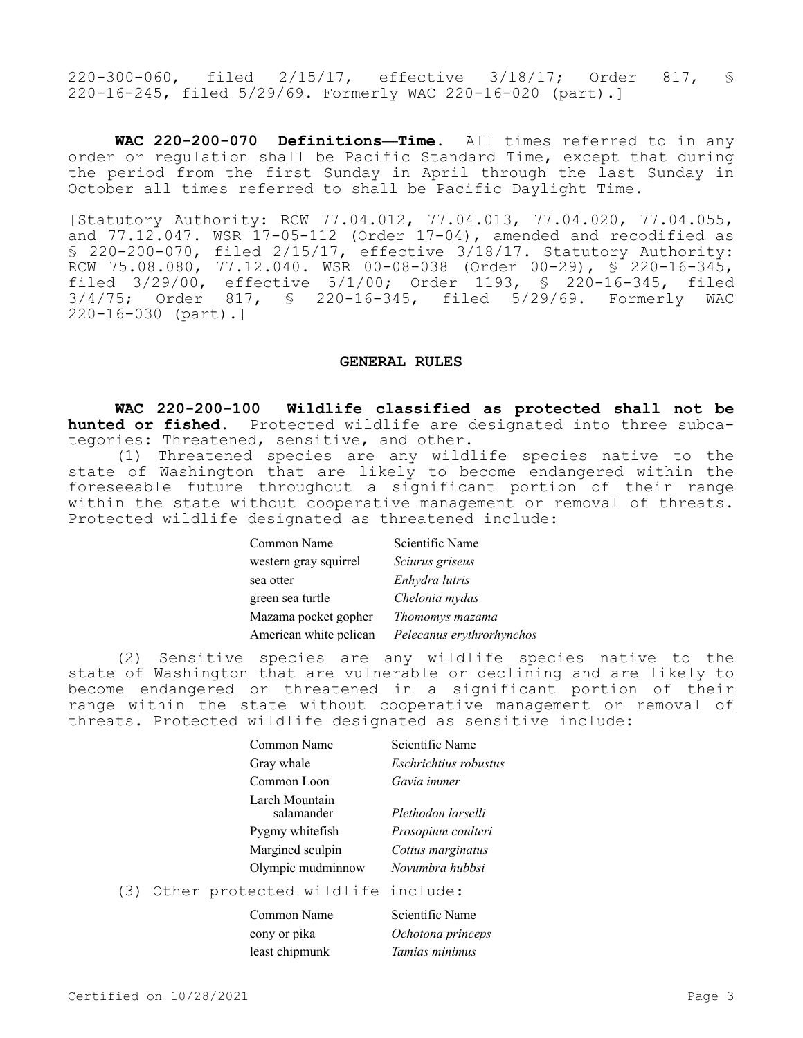220-300-060, filed 2/15/17, effective 3/18/17; Order 817, § 220-16-245, filed 5/29/69. Formerly WAC 220-16-020 (part).]

**WAC 220-200-070 Definitions—Time.** All times referred to in any order or regulation shall be Pacific Standard Time, except that during the period from the first Sunday in April through the last Sunday in October all times referred to shall be Pacific Daylight Time.

[Statutory Authority: RCW 77.04.012, 77.04.013, 77.04.020, 77.04.055, and 77.12.047. WSR 17-05-112 (Order 17-04), amended and recodified as § 220-200-070, filed 2/15/17, effective 3/18/17. Statutory Authority: RCW 75.08.080, 77.12.040. WSR 00-08-038 (Order 00-29), § 220-16-345, filed 3/29/00, effective 5/1/00; Order 1193, § 220-16-345, filed 3/4/75; Order 817, § 220-16-345, filed 5/29/69. Formerly WAC 220-16-030 (part).]

## **GENERAL RULES**

**WAC 220-200-100 Wildlife classified as protected shall not be hunted or fished.** Protected wildlife are designated into three subcategories: Threatened, sensitive, and other.

(1) Threatened species are any wildlife species native to the state of Washington that are likely to become endangered within the foreseeable future throughout a significant portion of their range within the state without cooperative management or removal of threats. Protected wildlife designated as threatened include:

| Common Name            | Scientific Name           |
|------------------------|---------------------------|
| western gray squirrel  | Sciurus griseus           |
| sea otter              | Enhydra lutris            |
| green sea turtle       | Chelonia mydas            |
| Mazama pocket gopher   | Thomomys mazama           |
| American white pelican | Pelecanus erythrorhynchos |

(2) Sensitive species are any wildlife species native to the state of Washington that are vulnerable or declining and are likely to become endangered or threatened in a significant portion of their range within the state without cooperative management or removal of threats. Protected wildlife designated as sensitive include:

| Scientific Name              |
|------------------------------|
| <i>Eschrichtius robustus</i> |
| Gavia immer                  |
| Plethodon larselli           |
| Prosopium coulteri           |
| Cottus marginatus            |
| Novumbra hubbsi              |
|                              |

## (3) Other protected wildlife include:

| Common Name    | Scientific Name   |
|----------------|-------------------|
| cony or pika   | Ochotona princeps |
| least chipmunk | Tamias minimus    |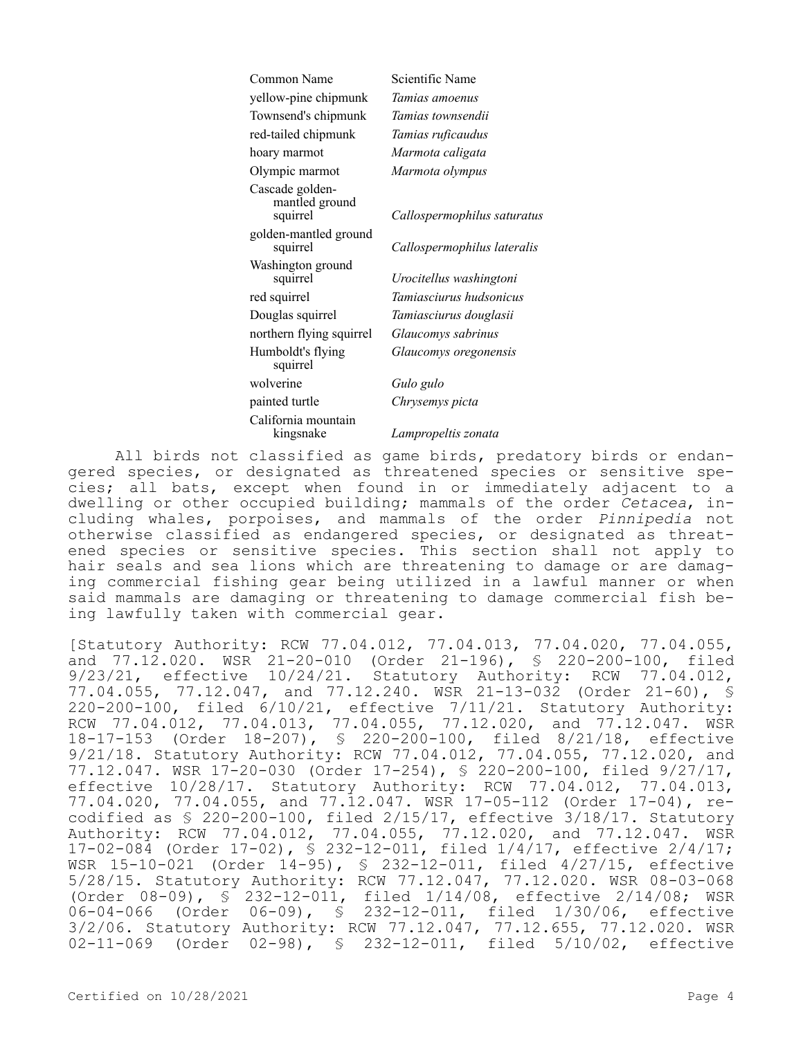| Common Name                                   | Scientific Name             |
|-----------------------------------------------|-----------------------------|
| yellow-pine chipmunk                          | Tamias amoenus              |
| Townsend's chipmunk                           | Tamias townsendii           |
| red-tailed chipmunk                           | Tamias ruficaudus           |
| hoary marmot                                  | Marmota caligata            |
| Olympic marmot                                | Marmota olympus             |
| Cascade golden-<br>mantled ground<br>squirrel | Callospermophilus saturatus |
| golden-mantled ground<br>squirrel             | Callospermophilus lateralis |
| Washington ground<br>squirrel                 | Urocitellus washingtoni     |
| red squirrel                                  | Tamiasciurus hudsonicus     |
| Douglas squirrel                              | Tamiasciurus douglasii      |
| northern flying squirrel                      | Glaucomys sabrinus          |
| Humboldt's flying<br>squirrel                 | Glaucomys oregonensis       |
| wolverine                                     | Gulo gulo                   |
| painted turtle                                | Chrysemys picta             |
| California mountain<br>kingsnake              | Lampropeltis zonata         |

All birds not classified as game birds, predatory birds or endangered species, or designated as threatened species or sensitive species; all bats, except when found in or immediately adjacent to a dwelling or other occupied building; mammals of the order *Cetacea*, including whales, porpoises, and mammals of the order *Pinnipedia* not otherwise classified as endangered species, or designated as threatened species or sensitive species. This section shall not apply to hair seals and sea lions which are threatening to damage or are damaging commercial fishing gear being utilized in a lawful manner or when said mammals are damaging or threatening to damage commercial fish being lawfully taken with commercial gear.

[Statutory Authority: RCW 77.04.012, 77.04.013, 77.04.020, 77.04.055, and 77.12.020. WSR 21-20-010 (Order 21-196), § 220-200-100, filed 9/23/21, effective 10/24/21. Statutory Authority: RCW 77.04.012, 77.04.055, 77.12.047, and 77.12.240. WSR 21-13-032 (Order 21-60), § 220-200-100, filed 6/10/21, effective 7/11/21. Statutory Authority: RCW 77.04.012, 77.04.013, 77.04.055, 77.12.020, and 77.12.047. WSR 18-17-153 (Order 18-207), § 220-200-100, filed 8/21/18, effective 9/21/18. Statutory Authority: RCW 77.04.012, 77.04.055, 77.12.020, and 77.12.047. WSR 17-20-030 (Order 17-254), § 220-200-100, filed 9/27/17, effective 10/28/17. Statutory Authority: RCW 77.04.012, 77.04.013, 77.04.020, 77.04.055, and 77.12.047. WSR 17-05-112 (Order 17-04), recodified as § 220-200-100, filed 2/15/17, effective 3/18/17. Statutory Authority: RCW 77.04.012, 77.04.055, 77.12.020, and 77.12.047. WSR 17-02-084 (Order 17-02), § 232-12-011, filed 1/4/17, effective 2/4/17; WSR 15-10-021 (Order 14-95), § 232-12-011, filed 4/27/15, effective 5/28/15. Statutory Authority: RCW 77.12.047, 77.12.020. WSR 08-03-068 (Order 08-09), § 232-12-011, filed 1/14/08, effective 2/14/08; WSR 06-04-066 (Order 06-09), § 232-12-011, filed 1/30/06, effective 3/2/06. Statutory Authority: RCW 77.12.047, 77.12.655, 77.12.020. WSR 02-11-069 (Order 02-98), § 232-12-011, filed 5/10/02, effective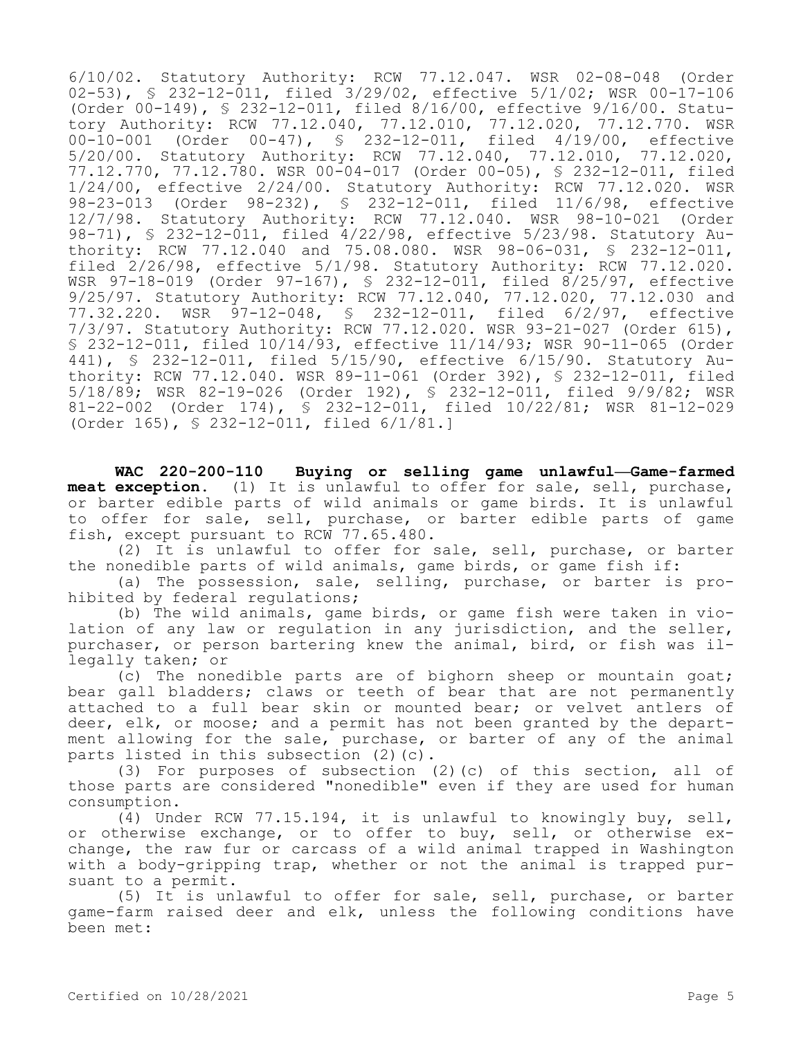6/10/02. Statutory Authority: RCW 77.12.047. WSR 02-08-048 (Order 02-53), § 232-12-011, filed 3/29/02, effective 5/1/02; WSR 00-17-106 (Order 00-149), § 232-12-011, filed 8/16/00, effective 9/16/00. Statutory Authority: RCW 77.12.040, 77.12.010, 77.12.020, 77.12.770. WSR 00-10-001 (Order 00-47), § 232-12-011, filed 4/19/00, effective 5/20/00. Statutory Authority: RCW 77.12.040, 77.12.010, 77.12.020, 77.12.770, 77.12.780. WSR 00-04-017 (Order 00-05), § 232-12-011, filed 1/24/00, effective 2/24/00. Statutory Authority: RCW 77.12.020. WSR 98-23-013 (Order 98-232), § 232-12-011, filed 11/6/98, effective 12/7/98. Statutory Authority: RCW 77.12.040. WSR 98-10-021 (Order 98-71), § 232-12-011, filed 4/22/98, effective 5/23/98. Statutory Authority: RCW 77.12.040 and 75.08.080. WSR 98-06-031, § 232-12-011, filed 2/26/98, effective 5/1/98. Statutory Authority: RCW 77.12.020. WSR 97-18-019 (Order 97-167), § 232-12-011, filed 8/25/97, effective 9/25/97. Statutory Authority: RCW 77.12.040, 77.12.020, 77.12.030 and 77.32.220. WSR 97-12-048, § 232-12-011, filed 6/2/97, effective 7/3/97. Statutory Authority: RCW 77.12.020. WSR 93-21-027 (Order 615), § 232-12-011, filed 10/14/93, effective 11/14/93; WSR 90-11-065 (Order 441), § 232-12-011, filed 5/15/90, effective 6/15/90. Statutory Authority: RCW 77.12.040. WSR 89-11-061 (Order 392), § 232-12-011, filed 5/18/89; WSR 82-19-026 (Order 192), § 232-12-011, filed 9/9/82; WSR 81-22-002 (Order 174), § 232-12-011, filed 10/22/81; WSR 81-12-029 (Order 165), § 232-12-011, filed 6/1/81.]

**WAC 220-200-110 Buying or selling game unlawful—Game-farmed meat exception.** (1) It is unlawful to offer for sale, sell, purchase, or barter edible parts of wild animals or game birds. It is unlawful to offer for sale, sell, purchase, or barter edible parts of game fish, except pursuant to RCW 77.65.480.

(2) It is unlawful to offer for sale, sell, purchase, or barter the nonedible parts of wild animals, game birds, or game fish if:

(a) The possession, sale, selling, purchase, or barter is prohibited by federal regulations;

(b) The wild animals, game birds, or game fish were taken in violation of any law or regulation in any jurisdiction, and the seller, purchaser, or person bartering knew the animal, bird, or fish was illegally taken; or

(c) The nonedible parts are of bighorn sheep or mountain goat; bear gall bladders; claws or teeth of bear that are not permanently attached to a full bear skin or mounted bear; or velvet antlers of deer, elk, or moose; and a permit has not been granted by the department allowing for the sale, purchase, or barter of any of the animal parts listed in this subsection (2)(c).

(3) For purposes of subsection (2)(c) of this section, all of those parts are considered "nonedible" even if they are used for human consumption.

(4) Under RCW 77.15.194, it is unlawful to knowingly buy, sell, or otherwise exchange, or to offer to buy, sell, or otherwise exchange, the raw fur or carcass of a wild animal trapped in Washington with a body-gripping trap, whether or not the animal is trapped pursuant to a permit.

(5) It is unlawful to offer for sale, sell, purchase, or barter game-farm raised deer and elk, unless the following conditions have been met: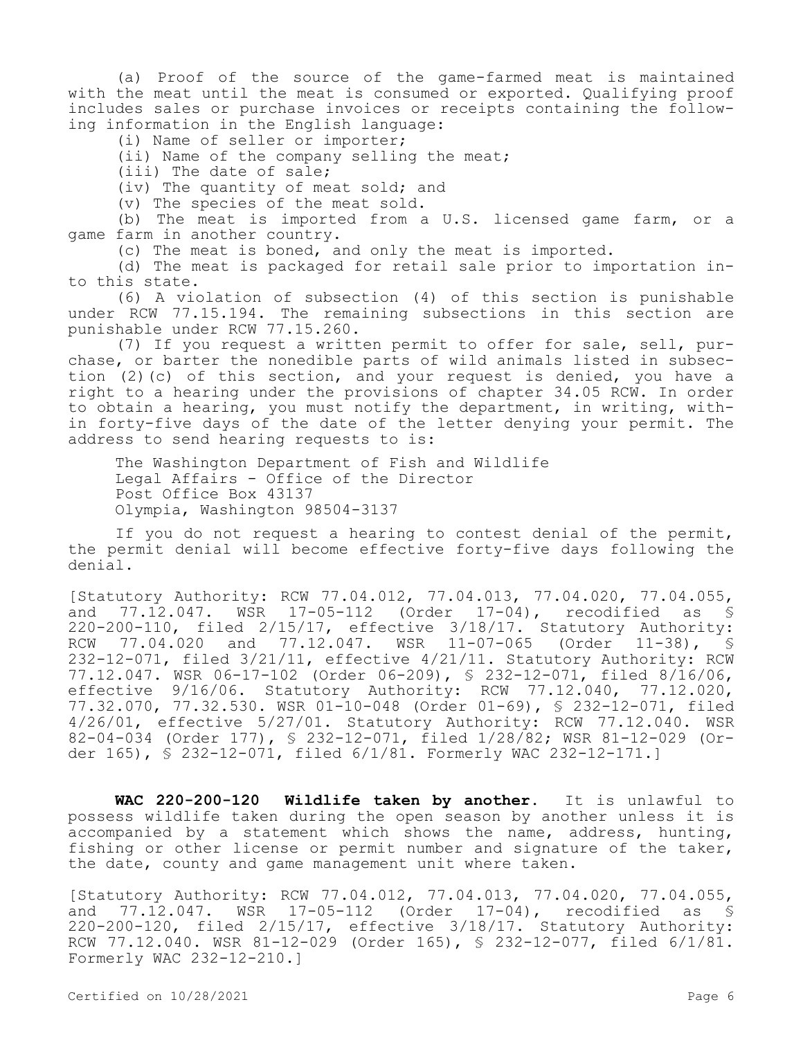(a) Proof of the source of the game-farmed meat is maintained with the meat until the meat is consumed or exported. Qualifying proof includes sales or purchase invoices or receipts containing the following information in the English language:

(i) Name of seller or importer;

(ii) Name of the company selling the meat;

(iii) The date of sale;

(iv) The quantity of meat sold; and

(v) The species of the meat sold.

(b) The meat is imported from a U.S. licensed game farm, or a game farm in another country.

(c) The meat is boned, and only the meat is imported.

(d) The meat is packaged for retail sale prior to importation into this state.

(6) A violation of subsection (4) of this section is punishable under RCW 77.15.194. The remaining subsections in this section are punishable under RCW 77.15.260.

(7) If you request a written permit to offer for sale, sell, purchase, or barter the nonedible parts of wild animals listed in subsection (2)(c) of this section, and your request is denied, you have a right to a hearing under the provisions of chapter 34.05 RCW. In order to obtain a hearing, you must notify the department, in writing, within forty-five days of the date of the letter denying your permit. The address to send hearing requests to is:

The Washington Department of Fish and Wildlife Legal Affairs - Office of the Director Post Office Box 43137 Olympia, Washington 98504-3137

If you do not request a hearing to contest denial of the permit, the permit denial will become effective forty-five days following the denial.

[Statutory Authority: RCW 77.04.012, 77.04.013, 77.04.020, 77.04.055, and 77.12.047. WSR 17-05-112 (Order 17-04), recodified as § 220-200-110, filed 2/15/17, effective 3/18/17. Statutory Authority: RCW 77.04.020 and 77.12.047. WSR 11-07-065 (Order 11-38), S 232-12-071, filed 3/21/11, effective 4/21/11. Statutory Authority: RCW 77.12.047. WSR 06-17-102 (Order 06-209), § 232-12-071, filed 8/16/06, effective 9/16/06. Statutory Authority: RCW 77.12.040, 77.12.020, 77.32.070, 77.32.530. WSR 01-10-048 (Order 01-69), § 232-12-071, filed 4/26/01, effective 5/27/01. Statutory Authority: RCW 77.12.040. WSR 82-04-034 (Order 177), § 232-12-071, filed 1/28/82; WSR 81-12-029 (Order 165), § 232-12-071, filed 6/1/81. Formerly WAC 232-12-171.]

**WAC 220-200-120 Wildlife taken by another.** It is unlawful to possess wildlife taken during the open season by another unless it is accompanied by a statement which shows the name, address, hunting, fishing or other license or permit number and signature of the taker, the date, county and game management unit where taken.

[Statutory Authority: RCW 77.04.012, 77.04.013, 77.04.020, 77.04.055, and 77.12.047. WSR 17-05-112 (Order 17-04), recodified as § 220-200-120, filed 2/15/17, effective 3/18/17. Statutory Authority: RCW 77.12.040. WSR 81-12-029 (Order 165), § 232-12-077, filed 6/1/81. Formerly WAC 232-12-210.]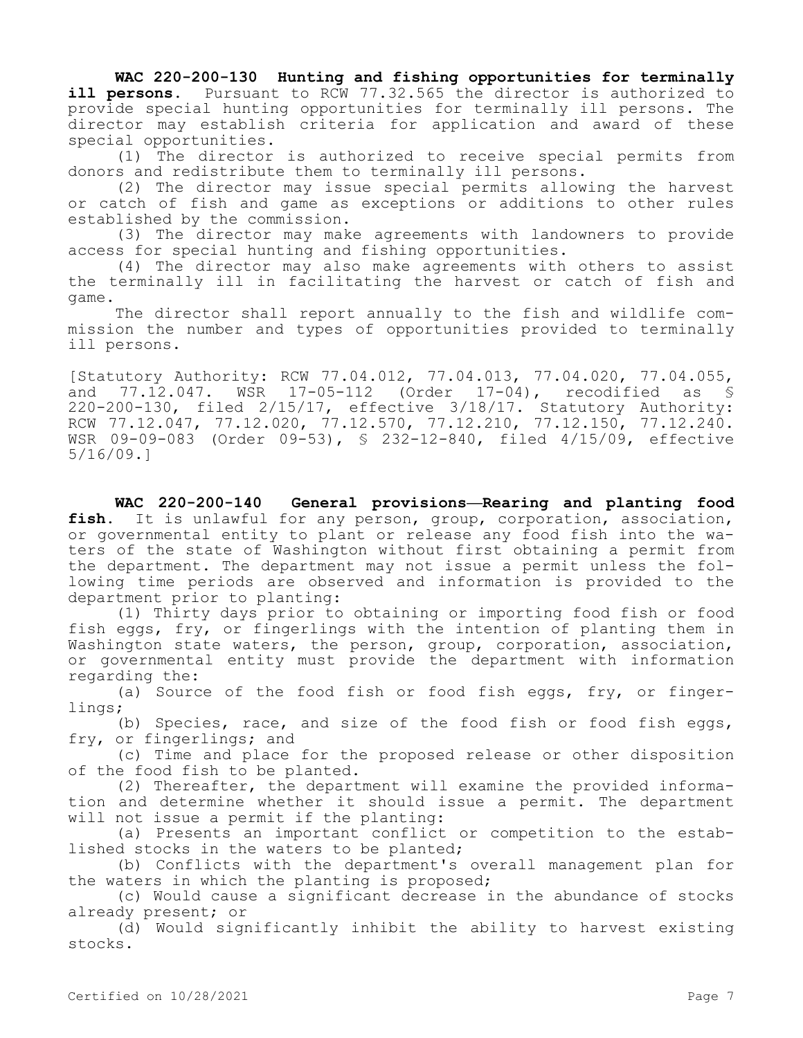**WAC 220-200-130 Hunting and fishing opportunities for terminally ill persons.** Pursuant to RCW 77.32.565 the director is authorized to provide special hunting opportunities for terminally ill persons. The director may establish criteria for application and award of these special opportunities.

(1) The director is authorized to receive special permits from donors and redistribute them to terminally ill persons.

(2) The director may issue special permits allowing the harvest or catch of fish and game as exceptions or additions to other rules established by the commission.

(3) The director may make agreements with landowners to provide access for special hunting and fishing opportunities.

(4) The director may also make agreements with others to assist the terminally ill in facilitating the harvest or catch of fish and game.

The director shall report annually to the fish and wildlife commission the number and types of opportunities provided to terminally ill persons.

[Statutory Authority: RCW 77.04.012, 77.04.013, 77.04.020, 77.04.055, and 77.12.047. WSR 17-05-112 (Order 17-04), recodified as § 220-200-130, filed 2/15/17, effective 3/18/17. Statutory Authority: RCW 77.12.047, 77.12.020, 77.12.570, 77.12.210, 77.12.150, 77.12.240. WSR 09-09-083 (Order 09-53), § 232-12-840, filed 4/15/09, effective 5/16/09.]

**WAC 220-200-140 General provisions—Rearing and planting food fish.** It is unlawful for any person, group, corporation, association, or governmental entity to plant or release any food fish into the waters of the state of Washington without first obtaining a permit from the department. The department may not issue a permit unless the following time periods are observed and information is provided to the department prior to planting:

(1) Thirty days prior to obtaining or importing food fish or food fish eggs, fry, or fingerlings with the intention of planting them in Washington state waters, the person, group, corporation, association, or governmental entity must provide the department with information regarding the:

(a) Source of the food fish or food fish eggs, fry, or fingerlings;

(b) Species, race, and size of the food fish or food fish eggs, fry, or fingerlings; and

(c) Time and place for the proposed release or other disposition of the food fish to be planted.

(2) Thereafter, the department will examine the provided information and determine whether it should issue a permit. The department will not issue a permit if the planting:

(a) Presents an important conflict or competition to the established stocks in the waters to be planted;

(b) Conflicts with the department's overall management plan for the waters in which the planting is proposed;

(c) Would cause a significant decrease in the abundance of stocks already present; or

(d) Would significantly inhibit the ability to harvest existing stocks.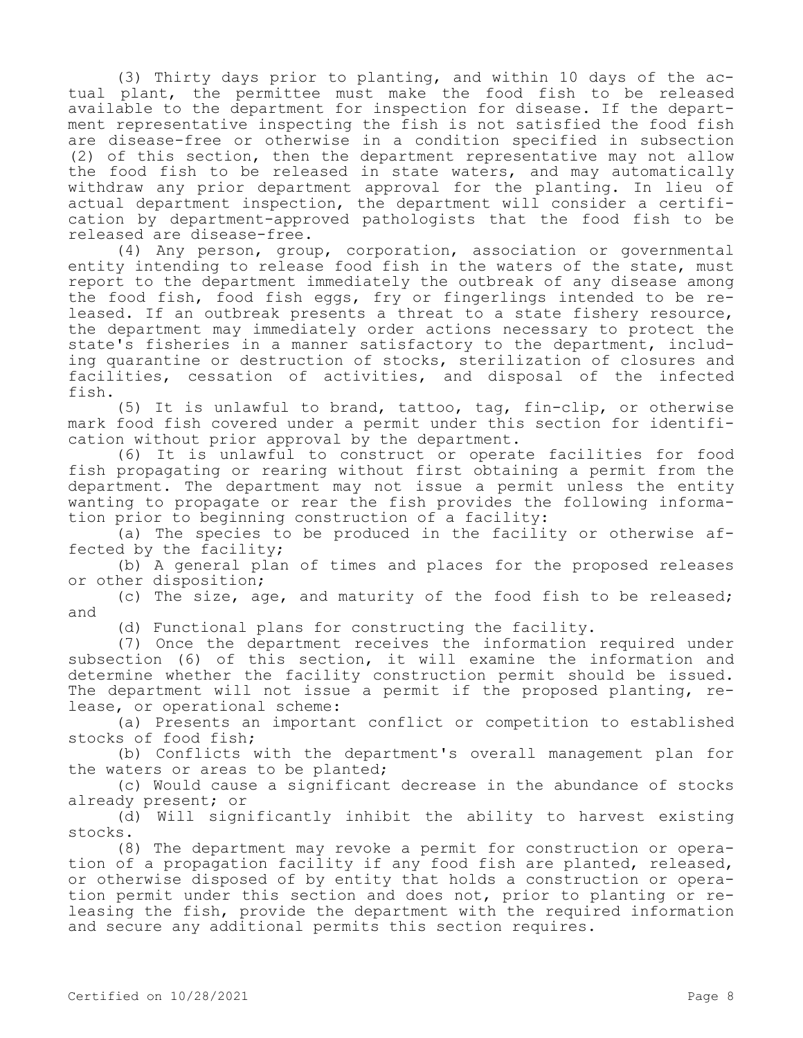(3) Thirty days prior to planting, and within 10 days of the actual plant, the permittee must make the food fish to be released available to the department for inspection for disease. If the department representative inspecting the fish is not satisfied the food fish are disease-free or otherwise in a condition specified in subsection (2) of this section, then the department representative may not allow the food fish to be released in state waters, and may automatically withdraw any prior department approval for the planting. In lieu of actual department inspection, the department will consider a certification by department-approved pathologists that the food fish to be released are disease-free.

(4) Any person, group, corporation, association or governmental entity intending to release food fish in the waters of the state, must report to the department immediately the outbreak of any disease among the food fish, food fish eggs, fry or fingerlings intended to be released. If an outbreak presents a threat to a state fishery resource, the department may immediately order actions necessary to protect the state's fisheries in a manner satisfactory to the department, including quarantine or destruction of stocks, sterilization of closures and facilities, cessation of activities, and disposal of the infected fish.

(5) It is unlawful to brand, tattoo, tag, fin-clip, or otherwise mark food fish covered under a permit under this section for identification without prior approval by the department.

(6) It is unlawful to construct or operate facilities for food fish propagating or rearing without first obtaining a permit from the department. The department may not issue a permit unless the entity wanting to propagate or rear the fish provides the following information prior to beginning construction of a facility:

(a) The species to be produced in the facility or otherwise affected by the facility;

(b) A general plan of times and places for the proposed releases or other disposition;

(c) The size, age, and maturity of the food fish to be released; and

(d) Functional plans for constructing the facility.

(7) Once the department receives the information required under subsection (6) of this section, it will examine the information and determine whether the facility construction permit should be issued. The department will not issue a permit if the proposed planting, release, or operational scheme:

(a) Presents an important conflict or competition to established stocks of food fish;

(b) Conflicts with the department's overall management plan for the waters or areas to be planted;

(c) Would cause a significant decrease in the abundance of stocks already present; or

(d) Will significantly inhibit the ability to harvest existing stocks.

(8) The department may revoke a permit for construction or operation of a propagation facility if any food fish are planted, released, or otherwise disposed of by entity that holds a construction or operation permit under this section and does not, prior to planting or releasing the fish, provide the department with the required information and secure any additional permits this section requires.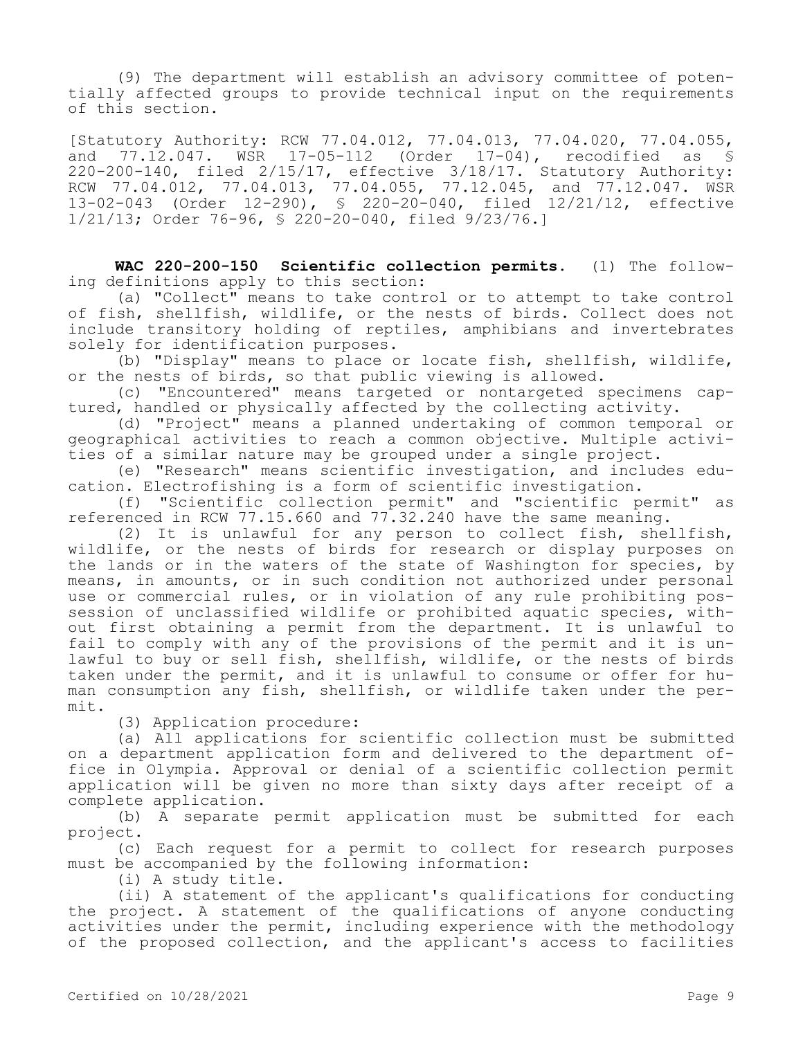(9) The department will establish an advisory committee of potentially affected groups to provide technical input on the requirements of this section.

[Statutory Authority: RCW 77.04.012, 77.04.013, 77.04.020, 77.04.055, and 77.12.047. WSR 17-05-112 (Order 17-04), recodified as § 220-200-140, filed 2/15/17, effective 3/18/17. Statutory Authority: RCW 77.04.012, 77.04.013, 77.04.055, 77.12.045, and 77.12.047. WSR 13-02-043 (Order 12-290), § 220-20-040, filed 12/21/12, effective 1/21/13; Order 76-96, § 220-20-040, filed 9/23/76.]

**WAC 220-200-150 Scientific collection permits.** (1) The following definitions apply to this section:

(a) "Collect" means to take control or to attempt to take control of fish, shellfish, wildlife, or the nests of birds. Collect does not include transitory holding of reptiles, amphibians and invertebrates solely for identification purposes.

(b) "Display" means to place or locate fish, shellfish, wildlife, or the nests of birds, so that public viewing is allowed.

(c) "Encountered" means targeted or nontargeted specimens captured, handled or physically affected by the collecting activity.

(d) "Project" means a planned undertaking of common temporal or geographical activities to reach a common objective. Multiple activities of a similar nature may be grouped under a single project.

(e) "Research" means scientific investigation, and includes education. Electrofishing is a form of scientific investigation.

(f) "Scientific collection permit" and "scientific permit" as referenced in RCW 77.15.660 and 77.32.240 have the same meaning.

(2) It is unlawful for any person to collect fish, shellfish, wildlife, or the nests of birds for research or display purposes on the lands or in the waters of the state of Washington for species, by means, in amounts, or in such condition not authorized under personal use or commercial rules, or in violation of any rule prohibiting possession of unclassified wildlife or prohibited aquatic species, without first obtaining a permit from the department. It is unlawful to fail to comply with any of the provisions of the permit and it is unlawful to buy or sell fish, shellfish, wildlife, or the nests of birds taken under the permit, and it is unlawful to consume or offer for human consumption any fish, shellfish, or wildlife taken under the permit.

(3) Application procedure:

(a) All applications for scientific collection must be submitted on a department application form and delivered to the department office in Olympia. Approval or denial of a scientific collection permit application will be given no more than sixty days after receipt of a complete application.

(b) A separate permit application must be submitted for each project.

(c) Each request for a permit to collect for research purposes must be accompanied by the following information:

(i) A study title.

(ii) A statement of the applicant's qualifications for conducting the project. A statement of the qualifications of anyone conducting activities under the permit, including experience with the methodology of the proposed collection, and the applicant's access to facilities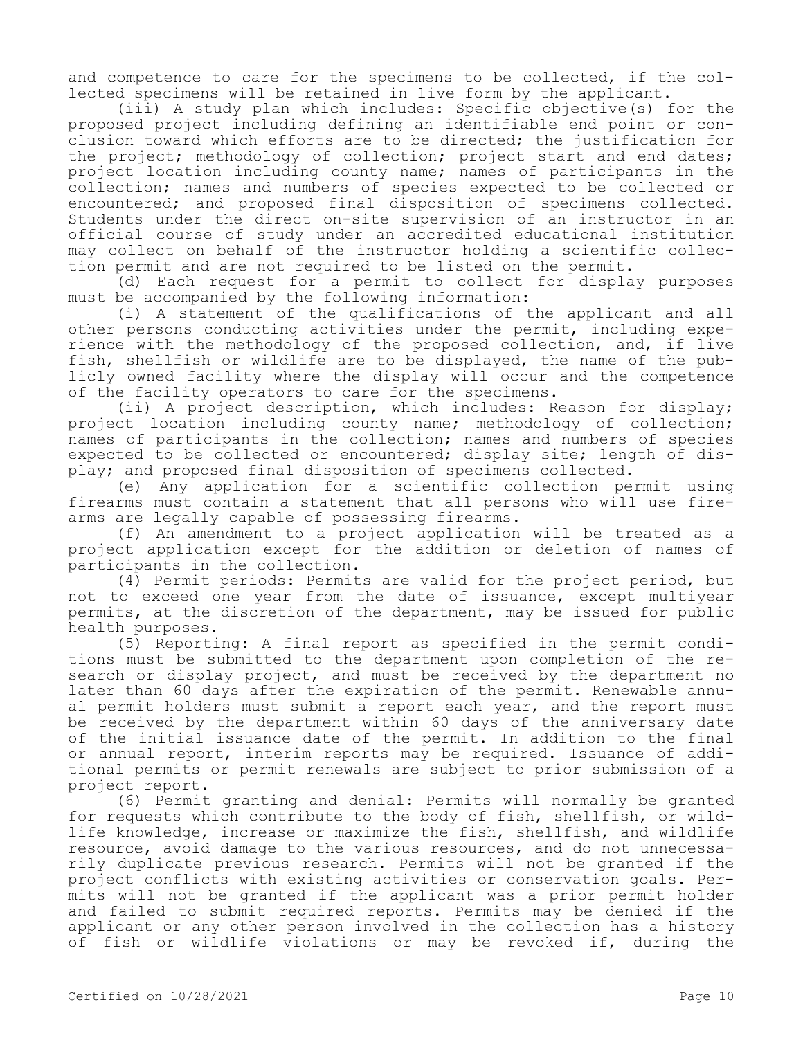and competence to care for the specimens to be collected, if the collected specimens will be retained in live form by the applicant.

(iii) A study plan which includes: Specific objective(s) for the proposed project including defining an identifiable end point or conclusion toward which efforts are to be directed; the justification for the project; methodology of collection; project start and end dates; project location including county name; names of participants in the collection; names and numbers of species expected to be collected or encountered; and proposed final disposition of specimens collected. Students under the direct on-site supervision of an instructor in an official course of study under an accredited educational institution may collect on behalf of the instructor holding a scientific collection permit and are not required to be listed on the permit.

(d) Each request for a permit to collect for display purposes must be accompanied by the following information:

(i) A statement of the qualifications of the applicant and all other persons conducting activities under the permit, including experience with the methodology of the proposed collection, and, if live fish, shellfish or wildlife are to be displayed, the name of the publicly owned facility where the display will occur and the competence of the facility operators to care for the specimens.

(ii) A project description, which includes: Reason for display; project location including county name; methodology of collection; names of participants in the collection; names and numbers of species expected to be collected or encountered; display site; length of display; and proposed final disposition of specimens collected.

(e) Any application for a scientific collection permit using firearms must contain a statement that all persons who will use firearms are legally capable of possessing firearms.

(f) An amendment to a project application will be treated as a project application except for the addition or deletion of names of participants in the collection.

(4) Permit periods: Permits are valid for the project period, but not to exceed one year from the date of issuance, except multiyear permits, at the discretion of the department, may be issued for public health purposes.

(5) Reporting: A final report as specified in the permit conditions must be submitted to the department upon completion of the research or display project, and must be received by the department no later than 60 days after the expiration of the permit. Renewable annual permit holders must submit a report each year, and the report must be received by the department within 60 days of the anniversary date of the initial issuance date of the permit. In addition to the final or annual report, interim reports may be required. Issuance of additional permits or permit renewals are subject to prior submission of a project report.

(6) Permit granting and denial: Permits will normally be granted for requests which contribute to the body of fish, shellfish, or wildlife knowledge, increase or maximize the fish, shellfish, and wildlife resource, avoid damage to the various resources, and do not unnecessarily duplicate previous research. Permits will not be granted if the project conflicts with existing activities or conservation goals. Permits will not be granted if the applicant was a prior permit holder and failed to submit required reports. Permits may be denied if the applicant or any other person involved in the collection has a history of fish or wildlife violations or may be revoked if, during the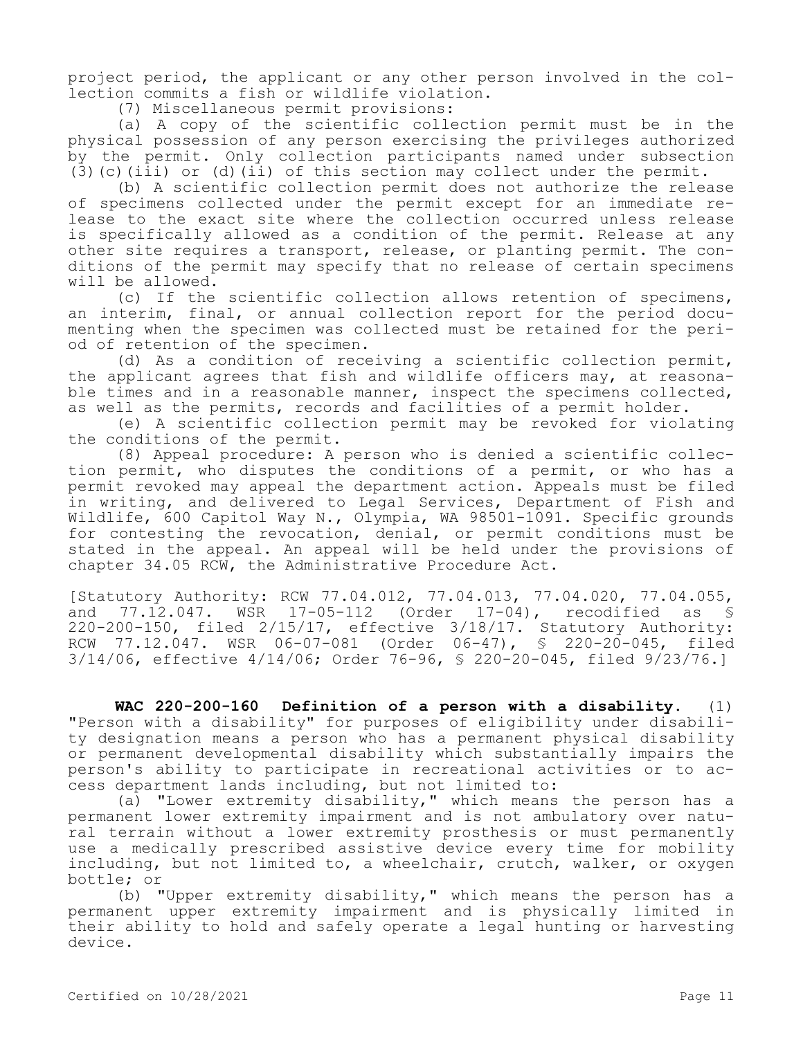project period, the applicant or any other person involved in the collection commits a fish or wildlife violation.

(7) Miscellaneous permit provisions:

(a) A copy of the scientific collection permit must be in the physical possession of any person exercising the privileges authorized by the permit. Only collection participants named under subsection (3)(c)(iii) or (d)(ii) of this section may collect under the permit.

(b) A scientific collection permit does not authorize the release of specimens collected under the permit except for an immediate release to the exact site where the collection occurred unless release is specifically allowed as a condition of the permit. Release at any other site requires a transport, release, or planting permit. The conditions of the permit may specify that no release of certain specimens will be allowed.

(c) If the scientific collection allows retention of specimens, an interim, final, or annual collection report for the period documenting when the specimen was collected must be retained for the period of retention of the specimen.

(d) As a condition of receiving a scientific collection permit, the applicant agrees that fish and wildlife officers may, at reasonable times and in a reasonable manner, inspect the specimens collected, as well as the permits, records and facilities of a permit holder.

(e) A scientific collection permit may be revoked for violating the conditions of the permit.

(8) Appeal procedure: A person who is denied a scientific collection permit, who disputes the conditions of a permit, or who has a permit revoked may appeal the department action. Appeals must be filed in writing, and delivered to Legal Services, Department of Fish and Wildlife, 600 Capitol Way N., Olympia, WA 98501-1091. Specific grounds for contesting the revocation, denial, or permit conditions must be stated in the appeal. An appeal will be held under the provisions of chapter 34.05 RCW, the Administrative Procedure Act.

[Statutory Authority: RCW 77.04.012, 77.04.013, 77.04.020, 77.04.055, and 77.12.047. WSR 17-05-112 (Order 17-04), recodified as § 220-200-150, filed 2/15/17, effective 3/18/17. Statutory Authority: RCW 77.12.047. WSR 06-07-081 (Order 06-47), § 220-20-045, filed 3/14/06, effective 4/14/06; Order 76-96, § 220-20-045, filed 9/23/76.]

**WAC 220-200-160 Definition of a person with a disability.** (1) "Person with a disability" for purposes of eligibility under disability designation means a person who has a permanent physical disability or permanent developmental disability which substantially impairs the person's ability to participate in recreational activities or to access department lands including, but not limited to:

(a) "Lower extremity disability," which means the person has a permanent lower extremity impairment and is not ambulatory over natural terrain without a lower extremity prosthesis or must permanently use a medically prescribed assistive device every time for mobility including, but not limited to, a wheelchair, crutch, walker, or oxygen bottle; or

(b) "Upper extremity disability," which means the person has a permanent upper extremity impairment and is physically limited in their ability to hold and safely operate a legal hunting or harvesting device.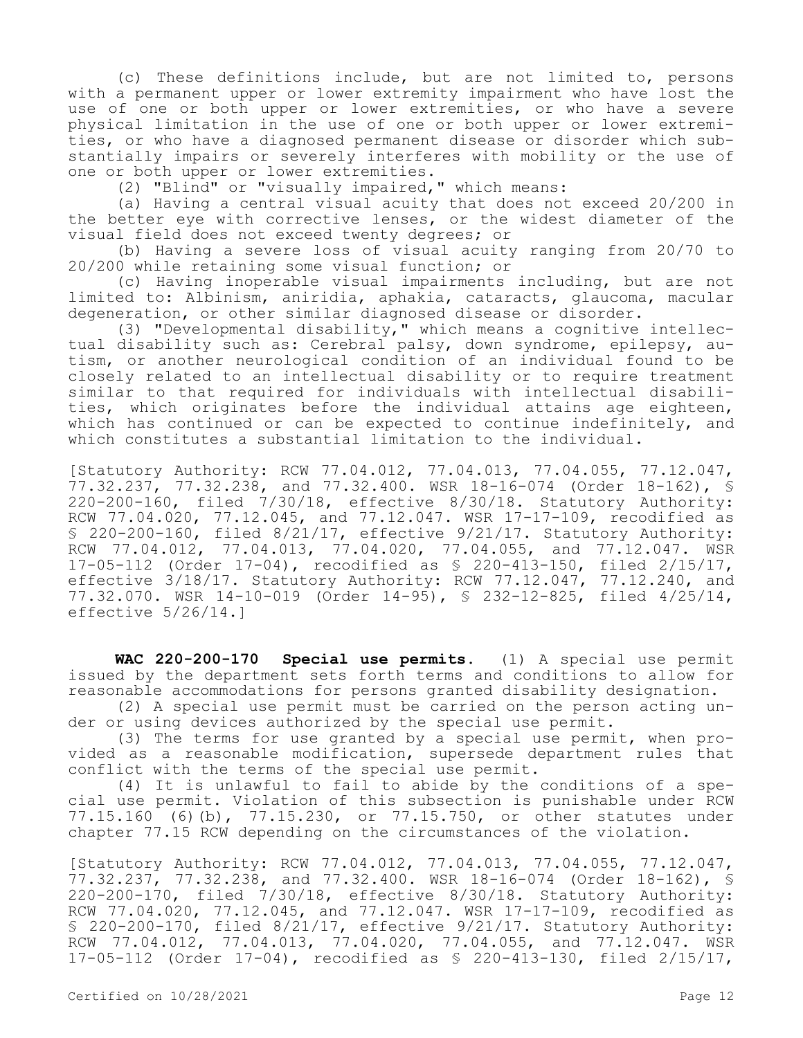(c) These definitions include, but are not limited to, persons with a permanent upper or lower extremity impairment who have lost the use of one or both upper or lower extremities, or who have a severe physical limitation in the use of one or both upper or lower extremities, or who have a diagnosed permanent disease or disorder which substantially impairs or severely interferes with mobility or the use of one or both upper or lower extremities.

(2) "Blind" or "visually impaired," which means:

(a) Having a central visual acuity that does not exceed 20/200 in the better eye with corrective lenses, or the widest diameter of the visual field does not exceed twenty degrees; or

(b) Having a severe loss of visual acuity ranging from 20/70 to 20/200 while retaining some visual function; or

(c) Having inoperable visual impairments including, but are not limited to: Albinism, aniridia, aphakia, cataracts, glaucoma, macular degeneration, or other similar diagnosed disease or disorder.

(3) "Developmental disability," which means a cognitive intellectual disability such as: Cerebral palsy, down syndrome, epilepsy, autism, or another neurological condition of an individual found to be closely related to an intellectual disability or to require treatment similar to that required for individuals with intellectual disabilities, which originates before the individual attains age eighteen, which has continued or can be expected to continue indefinitely, and which constitutes a substantial limitation to the individual.

[Statutory Authority: RCW 77.04.012, 77.04.013, 77.04.055, 77.12.047, 77.32.237, 77.32.238, and 77.32.400. WSR 18-16-074 (Order 18-162), § 220-200-160, filed 7/30/18, effective 8/30/18. Statutory Authority: RCW 77.04.020, 77.12.045, and 77.12.047. WSR 17-17-109, recodified as § 220-200-160, filed 8/21/17, effective 9/21/17. Statutory Authority: RCW 77.04.012, 77.04.013, 77.04.020, 77.04.055, and 77.12.047. WSR 17-05-112 (Order 17-04), recodified as § 220-413-150, filed 2/15/17, effective 3/18/17. Statutory Authority: RCW 77.12.047, 77.12.240, and 77.32.070. WSR 14-10-019 (Order 14-95), § 232-12-825, filed 4/25/14, effective 5/26/14.]

**WAC 220-200-170 Special use permits.** (1) A special use permit issued by the department sets forth terms and conditions to allow for reasonable accommodations for persons granted disability designation.

(2) A special use permit must be carried on the person acting under or using devices authorized by the special use permit.

(3) The terms for use granted by a special use permit, when provided as a reasonable modification, supersede department rules that conflict with the terms of the special use permit.

(4) It is unlawful to fail to abide by the conditions of a special use permit. Violation of this subsection is punishable under RCW 77.15.160 (6)(b), 77.15.230, or 77.15.750, or other statutes under chapter 77.15 RCW depending on the circumstances of the violation.

[Statutory Authority: RCW 77.04.012, 77.04.013, 77.04.055, 77.12.047, 77.32.237, 77.32.238, and 77.32.400. WSR 18-16-074 (Order 18-162), § 220-200-170, filed 7/30/18, effective 8/30/18. Statutory Authority: RCW 77.04.020, 77.12.045, and 77.12.047. WSR 17-17-109, recodified as § 220-200-170, filed 8/21/17, effective 9/21/17. Statutory Authority: RCW 77.04.012, 77.04.013, 77.04.020, 77.04.055, and 77.12.047. WSR 17-05-112 (Order 17-04), recodified as § 220-413-130, filed 2/15/17,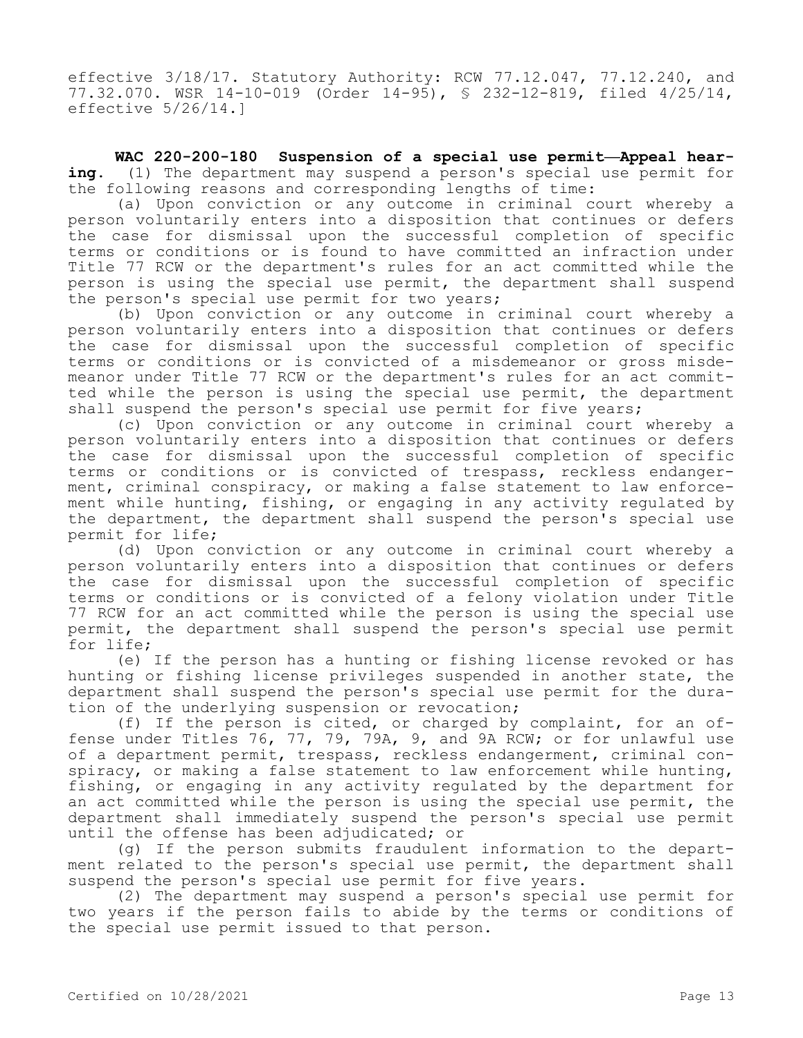effective 3/18/17. Statutory Authority: RCW 77.12.047, 77.12.240, and 77.32.070. WSR 14-10-019 (Order 14-95), § 232-12-819, filed 4/25/14, effective 5/26/14.]

**WAC 220-200-180 Suspension of a special use permit—Appeal hearing.** (1) The department may suspend a person's special use permit for the following reasons and corresponding lengths of time:

(a) Upon conviction or any outcome in criminal court whereby a person voluntarily enters into a disposition that continues or defers the case for dismissal upon the successful completion of specific terms or conditions or is found to have committed an infraction under Title 77 RCW or the department's rules for an act committed while the person is using the special use permit, the department shall suspend the person's special use permit for two years;

(b) Upon conviction or any outcome in criminal court whereby a person voluntarily enters into a disposition that continues or defers the case for dismissal upon the successful completion of specific terms or conditions or is convicted of a misdemeanor or gross misdemeanor under Title 77 RCW or the department's rules for an act committed while the person is using the special use permit, the department shall suspend the person's special use permit for five years;

(c) Upon conviction or any outcome in criminal court whereby a person voluntarily enters into a disposition that continues or defers the case for dismissal upon the successful completion of specific terms or conditions or is convicted of trespass, reckless endangerment, criminal conspiracy, or making a false statement to law enforcement while hunting, fishing, or engaging in any activity regulated by the department, the department shall suspend the person's special use permit for life;

(d) Upon conviction or any outcome in criminal court whereby a person voluntarily enters into a disposition that continues or defers the case for dismissal upon the successful completion of specific terms or conditions or is convicted of a felony violation under Title 77 RCW for an act committed while the person is using the special use permit, the department shall suspend the person's special use permit for life;

(e) If the person has a hunting or fishing license revoked or has hunting or fishing license privileges suspended in another state, the department shall suspend the person's special use permit for the duration of the underlying suspension or revocation;

(f) If the person is cited, or charged by complaint, for an offense under Titles 76, 77, 79, 79A, 9, and 9A RCW; or for unlawful use of a department permit, trespass, reckless endangerment, criminal conspiracy, or making a false statement to law enforcement while hunting, fishing, or engaging in any activity regulated by the department for an act committed while the person is using the special use permit, the department shall immediately suspend the person's special use permit until the offense has been adjudicated; or

(g) If the person submits fraudulent information to the department related to the person's special use permit, the department shall suspend the person's special use permit for five years.

(2) The department may suspend a person's special use permit for two years if the person fails to abide by the terms or conditions of the special use permit issued to that person.